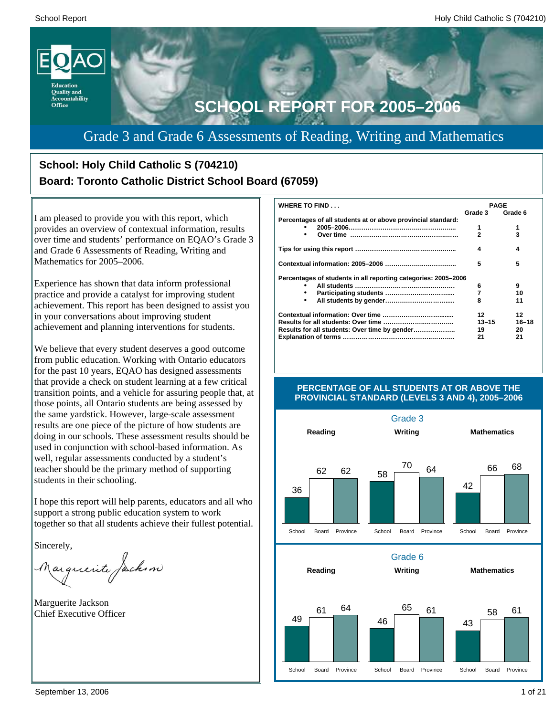

### Grade 3 and Grade 6 Assessments of Reading, Writing and Mathematics

### **School: Holy Child Catholic S (704210) Board: Toronto Catholic District School Board (67059)**

I am pleased to provide you with this report, which provides an overview of contextual information, results over time and students' performance on EQAO's Grade 3 and Grade 6 Assessments of Reading, Writing and Mathematics for 2005–2006.

Experience has shown that data inform professional practice and provide a catalyst for improving student achievement. This report has been designed to assist you in your conversations about improving student achievement and planning interventions for students.

We believe that every student deserves a good outcome from public education. Working with Ontario educators for the past 10 years, EQAO has designed assessments that provide a check on student learning at a few critical transition points, and a vehicle for assuring people that, at those points, all Ontario students are being assessed by the same yardstick. However, large-scale assessment results are one piece of the picture of how students are doing in our schools. These assessment results should be used in conjunction with school-based information. As well, regular assessments conducted by a student's teacher should be the primary method of supporting students in their schooling.

I hope this report will help parents, educators and all who support a strong public education system to work together so that all students achieve their fullest potential.

Sincerely,

Marguerite Jackson

Marguerite Jackson Chief Executive Officer

| <b>WHERE TO FIND</b>                                           | <b>PAGE</b> |           |
|----------------------------------------------------------------|-------------|-----------|
|                                                                | Grade 3     | Grade 6   |
| Percentages of all students at or above provincial standard:   |             |           |
|                                                                | 1           |           |
| ٠                                                              | 2           | 3         |
|                                                                | 4           | 4         |
|                                                                | 5           | 5         |
| Percentages of students in all reporting categories: 2005-2006 |             |           |
|                                                                | 6           | 9         |
| ٠                                                              | 7           | 10        |
| ٠                                                              | 8           | 11        |
|                                                                | 12          | 12        |
|                                                                | $13 - 15$   | $16 - 18$ |
| Results for all students: Over time by gender                  | 19          | 20        |
|                                                                | 21          | 21        |



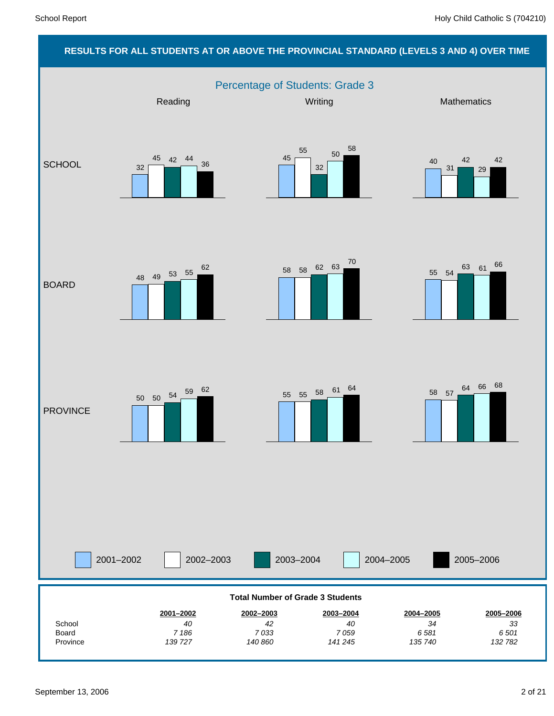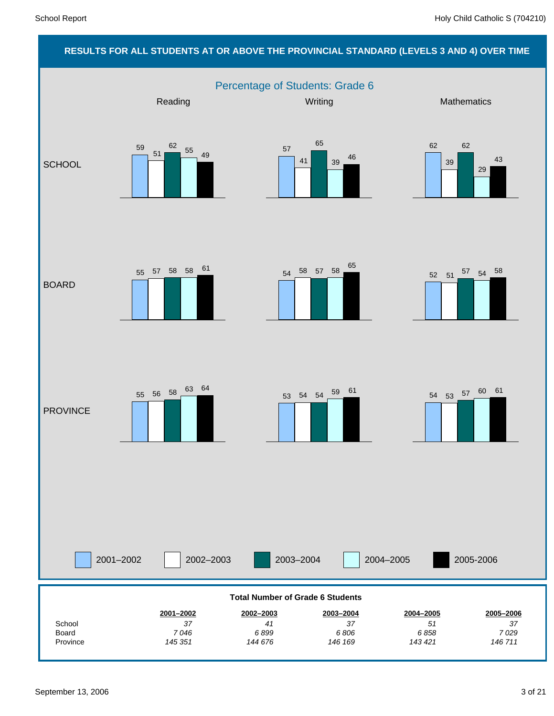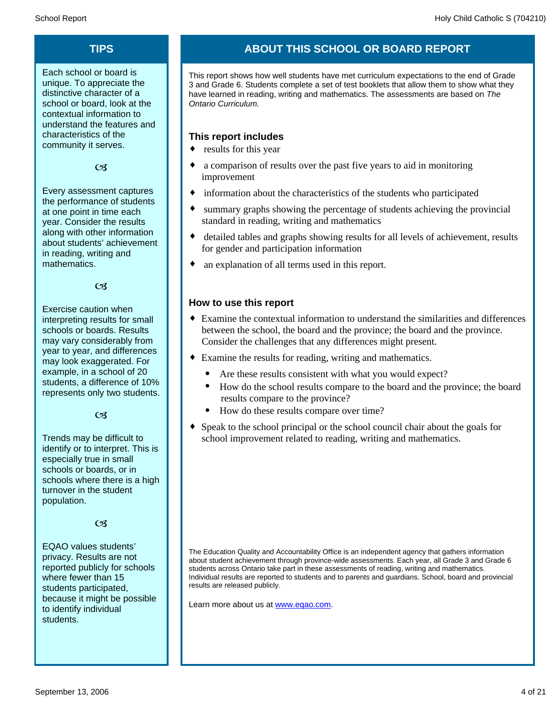Each school or board is unique. To appreciate the distinctive character of a school or board, look at the contextual information to understand the features and characteristics of the community it serves.

#### $C<sub>3</sub>$

Every assessment captures the performance of students at one point in time each year. Consider the results along with other information about students' achievement in reading, writing and mathematics.

 $\alpha$ 

Exercise caution when interpreting results for small schools or boards. Results may vary considerably from year to year, and differences may look exaggerated. For example, in a school of 20 students, a difference of 10% represents only two students.

 $C<sub>3</sub>$ 

Trends may be difficult to identify or to interpret. This is especially true in small schools or boards, or in schools where there is a high turnover in the student population.

#### $\alpha$

EQAO values students' privacy. Results are not reported publicly for schools where fewer than 15 students participated, because it might be possible to identify individual students.

### **TIPS ABOUT THIS SCHOOL OR BOARD REPORT**

This report shows how well students have met curriculum expectations to the end of Grade 3 and Grade 6. Students complete a set of test booklets that allow them to show what they have learned in reading, writing and mathematics. The assessments are based on *The Ontario Curriculum.*

#### **This report includes**

- $\bullet$  results for this year
- a comparison of results over the past five years to aid in monitoring improvement
- information about the characteristics of the students who participated
- summary graphs showing the percentage of students achieving the provincial standard in reading, writing and mathematics
- detailed tables and graphs showing results for all levels of achievement, results for gender and participation information
- an explanation of all terms used in this report.

#### **How to use this report**

- ¨ Examine the contextual information to understand the similarities and differences between the school, the board and the province; the board and the province. Consider the challenges that any differences might present.
- Examine the results for reading, writing and mathematics.
	- Are these results consistent with what you would expect?
	- · How do the school results compare to the board and the province; the board results compare to the province?
	- · How do these results compare over time?
- Speak to the school principal or the school council chair about the goals for school improvement related to reading, writing and mathematics.

The Education Quality and Accountability Office is an independent agency that gathers information about student achievement through province-wide assessments. Each year, all Grade 3 and Grade 6 students across Ontario take part in these assessments of reading, writing and mathematics. Individual results are reported to students and to parents and guardians. School, board and provincial results are released publicly.

Learn more about us at www.eqao.com.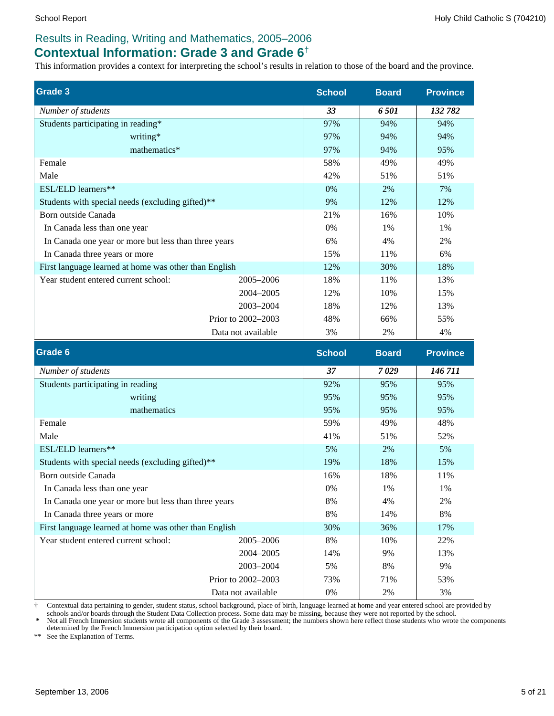### **Contextual Information: Grade 3 and Grade 6**†

This information provides a context for interpreting the school's results in relation to those of the board and the province.

| <b>Grade 3</b>                                        | <b>School</b> | <b>Board</b> | <b>Province</b> |
|-------------------------------------------------------|---------------|--------------|-----------------|
| Number of students                                    | 33            | 6501         | 132 782         |
| Students participating in reading*                    | 97%           | 94%          | 94%             |
| writing*                                              | 97%           | 94%          | 94%             |
| mathematics*                                          | 97%           | 94%          | 95%             |
| Female                                                | 58%           | 49%          | 49%             |
| Male                                                  | 42%           | 51%          | 51%             |
| ESL/ELD learners**                                    | 0%            | 2%           | 7%              |
| Students with special needs (excluding gifted)**      | 9%            | 12%          | 12%             |
| Born outside Canada                                   | 21%           | 16%          | 10%             |
| In Canada less than one year                          | 0%            | 1%           | 1%              |
| In Canada one year or more but less than three years  | 6%            | 4%           | 2%              |
| In Canada three years or more                         | 15%           | 11%          | 6%              |
| First language learned at home was other than English | 12%           | 30%          | 18%             |
| Year student entered current school:<br>2005-2006     | 18%           | 11%          | 13%             |
| 2004-2005                                             | 12%           | 10%          | 15%             |
| 2003-2004                                             | 18%           | 12%          | 13%             |
| Prior to 2002-2003                                    | 48%           | 66%          | 55%             |
| Data not available                                    | 3%            | 2%           | 4%              |
| Grade 6                                               | <b>School</b> | <b>Board</b> | <b>Province</b> |
| Number of students                                    | 37            | 7029         | 146711          |
| Students participating in reading                     | 92%           | 95%          | 95%             |
| writing                                               | 95%           | 95%          |                 |
| mathematics                                           |               |              | 95%             |
|                                                       | 95%           | 95%          | 95%             |
| Female                                                | 59%           | 49%          | 48%             |
| Male                                                  | 41%           | 51%          | 52%             |
| ESL/ELD learners**                                    | 5%            | 2%           | 5%              |
| Students with special needs (excluding gifted)**      | 19%           | 18%          | 15%             |
| Born outside Canada                                   | 16%           | 18%          | 11%             |
| In Canada less than one year                          | 0%            | 1%           | 1%              |
| In Canada one year or more but less than three years  | $8\%$         | 4%           | 2%              |
| In Canada three years or more                         | $8\%$         | 14%          | 8%              |
| First language learned at home was other than English | 30%           | 36%          | 17%             |
| Year student entered current school:<br>2005-2006     | 8%            | 10%          | 22%             |
| 2004-2005                                             | 14%           | 9%           | 13%             |
| 2003-2004                                             | 5%            | 8%           | 9%              |

† Contextual data pertaining to gender, student status, school background, place of birth, language learned at home and year entered school are provided by

0% 2% 3%

Data not available

schools and/or boards through the Student Data Collection process. Some data may be missing, because they were not reported by the school.<br>\* Not all French Immersion students wrote all components of the Grade 3 assessment;

\*\* See the Explanation of Terms.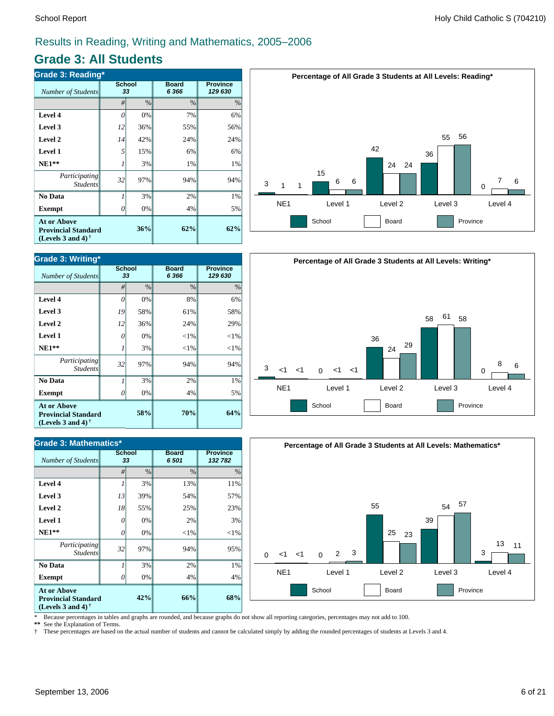### **Grade 3: All Students**

| <b>Grade 3: Reading*</b>                                                                                    |                     |     |                         |                            |  |  |  |
|-------------------------------------------------------------------------------------------------------------|---------------------|-----|-------------------------|----------------------------|--|--|--|
| <b>Number of Students</b>                                                                                   | <b>School</b><br>33 |     | <b>Board</b><br>6 3 6 6 | <b>Province</b><br>129 630 |  |  |  |
|                                                                                                             | #                   | %   | $\%$                    | $\%$                       |  |  |  |
| Level 4                                                                                                     | $\theta$            | 0%  | 7%                      | 6%                         |  |  |  |
| Level 3                                                                                                     | 12                  | 36% | 55%                     | 56%                        |  |  |  |
| Level 2                                                                                                     | 14                  | 42% | 24%                     | 24%                        |  |  |  |
| <b>Level 1</b>                                                                                              | 5                   | 15% | 6%                      | 6%                         |  |  |  |
| $NE1**$                                                                                                     |                     | 3%  | 1%                      | 1%                         |  |  |  |
| Participating<br><b>Students</b>                                                                            | 32                  | 97% | 94%                     | 94%                        |  |  |  |
| No Data                                                                                                     |                     | 3%  | 2%                      | 1%                         |  |  |  |
| <b>Exempt</b>                                                                                               | 0                   | 0%  | 4%                      | 5%                         |  |  |  |
| <b>At or Above</b><br>36%<br><b>Provincial Standard</b><br>(Levels 3 and 4) <sup><math>\dagger</math></sup> |                     |     | 62%                     | 62%                        |  |  |  |



| <b>Grade 3: Mathematics*</b>                                                   |                     |      |                      |                            |  |  |  |
|--------------------------------------------------------------------------------|---------------------|------|----------------------|----------------------------|--|--|--|
| <b>Number of Students</b>                                                      | <b>School</b><br>33 |      | <b>Board</b><br>6501 | <b>Province</b><br>132 782 |  |  |  |
|                                                                                | #                   | $\%$ | $\frac{0}{0}$        | $\%$                       |  |  |  |
| Level 4                                                                        |                     | 3%   | 13%                  | 11%                        |  |  |  |
| Level 3                                                                        | 13                  | 39%  | 54%                  | 57%                        |  |  |  |
| Level 2                                                                        | 18                  | 55%  | 25%                  | 23%                        |  |  |  |
| Level 1                                                                        | 0                   | 0%   | 2%                   | 3%                         |  |  |  |
| $NE1**$                                                                        | 0                   | 0%   | $<$ 1%               | $<$ 1%                     |  |  |  |
| Participating<br><b>Students</b>                                               | 32                  | 97%  | 94%                  | 95%                        |  |  |  |
| No Data                                                                        |                     | 3%   | 2%                   | 1%                         |  |  |  |
| <b>Exempt</b>                                                                  | Ω                   | 0%   | 4%                   | 4%                         |  |  |  |
| <b>At or Above</b><br><b>Provincial Standard</b><br>(Levels 3 and 4) $\dagger$ |                     | 42%  | 66%                  | 68%                        |  |  |  |







\* Because percentages in tables and graphs are rounded, and because graphs do not show all reporting categories, percentages may not add to 100.<br>\*\* See the Explanation of Terms

See the Explanation of Terms.

† These percentages are based on the actual number of students and cannot be calculated simply by adding the rounded percentages of students at Levels 3 and 4.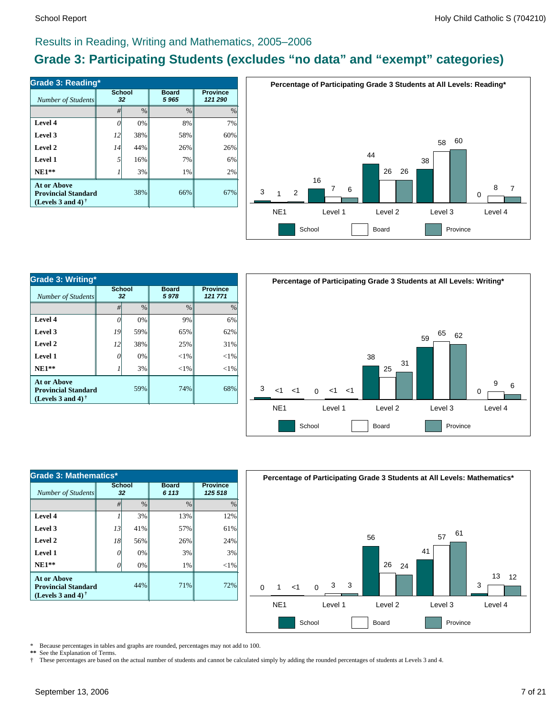### **Grade 3: Participating Students (excludes "no data" and "exempt" categories)**

| Number of Students                                                             | <b>School</b><br>32 |               | <b>Board</b><br>5965 | <b>Province</b><br>121 290 |  |
|--------------------------------------------------------------------------------|---------------------|---------------|----------------------|----------------------------|--|
|                                                                                | #                   | $\frac{0}{0}$ | $\frac{0}{0}$        | $\frac{0}{0}$              |  |
| Level 4                                                                        |                     | 0%            | 8%                   | 7%                         |  |
| Level 3                                                                        | 12                  | 38%           | 58%                  | 60%                        |  |
| Level 2                                                                        | 14                  | 44%           | 26%                  | 26%                        |  |
| Level 1                                                                        | 5                   | 16%           | 7%                   | 6%                         |  |
| $NE1**$                                                                        |                     | 3%            | 1%                   | 2%                         |  |
| <b>At or Above</b><br><b>Provincial Standard</b><br>(Levels 3 and 4) $\dagger$ |                     | 38%           | 66%                  | 67%                        |  |



| Grade 3: Writing*                                                              |                     |     |                      |                            |  |  |  |
|--------------------------------------------------------------------------------|---------------------|-----|----------------------|----------------------------|--|--|--|
| Number of Students                                                             | <b>School</b><br>32 |     | <b>Board</b><br>5978 | <b>Province</b><br>121 771 |  |  |  |
|                                                                                | $\frac{0}{0}$<br>#  |     | $\frac{0}{0}$        | $\%$                       |  |  |  |
| Level 4                                                                        | 0                   | 0%  | 9%                   | 6%                         |  |  |  |
| Level 3                                                                        | 19                  | 59% | 65%                  | 62%                        |  |  |  |
| Level 2                                                                        | 12                  | 38% | 25%                  | 31%                        |  |  |  |
| Level 1                                                                        | 0                   | 0%  | ${<}1\%$             | $<$ 1%                     |  |  |  |
| $NE1**$                                                                        |                     | 3%  | $<$ 1%               | ${<}1\%$                   |  |  |  |
| <b>At or Above</b><br><b>Provincial Standard</b><br>(Levels 3 and 4) $\dagger$ |                     | 59% | 74%                  | 68%                        |  |  |  |



| Grade 3: Mathematics*                                                          |                 |               |                         |                            |  |  |  |
|--------------------------------------------------------------------------------|-----------------|---------------|-------------------------|----------------------------|--|--|--|
| Number of Students                                                             | School<br>32    |               | <b>Board</b><br>6 1 1 3 | <b>Province</b><br>125 518 |  |  |  |
|                                                                                | #               | $\frac{0}{0}$ | $\frac{0}{0}$           | $\frac{0}{0}$              |  |  |  |
| Level 4                                                                        |                 | 3%            | 13%                     | 12%                        |  |  |  |
| Level 3                                                                        | 13              | 41%           | 57%                     | 61%                        |  |  |  |
| Level 2                                                                        | 18 <sup>1</sup> | 56%           | 26%                     | 24%                        |  |  |  |
| Level 1                                                                        | 0               | 0%            | 3%                      | 3%                         |  |  |  |
| $NE1**$                                                                        | O               | 0%            | 1%                      | $<$ 1%                     |  |  |  |
| <b>At or Above</b><br><b>Provincial Standard</b><br>(Levels 3 and 4) $\dagger$ |                 | 44%           | 71%                     | 72%                        |  |  |  |



\* Because percentages in tables and graphs are rounded, percentages may not add to 100.

\*\* See the Explanation of Terms.<br>
<sup>†</sup> These percentages are based o † These percentages are based on the actual number of students and cannot be calculated simply by adding the rounded percentages of students at Levels 3 and 4.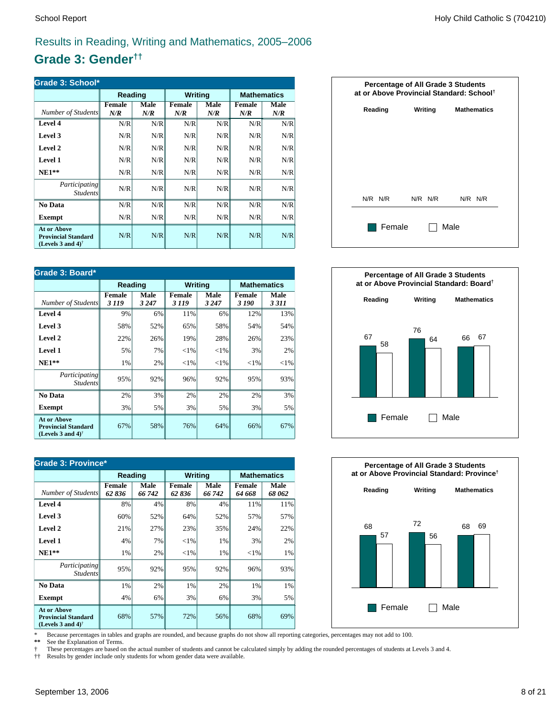### **Grade 3: Gender††**

| Grade 3: School*                                                                                     |                      |             |               |             |               |                    |  |
|------------------------------------------------------------------------------------------------------|----------------------|-------------|---------------|-------------|---------------|--------------------|--|
|                                                                                                      | Reading              |             | Writing       |             |               | <b>Mathematics</b> |  |
| Number of Students                                                                                   | <b>Female</b><br>N/R | Male<br>N/R | Female<br>N/R | Male<br>N/R | Female<br>N/R | Male<br>N/R        |  |
| <b>Level 4</b>                                                                                       | N/R                  | N/R         | N/R           | N/R         | N/R           | N/R                |  |
| Level 3                                                                                              | N/R                  | N/R         | N/R           | N/R         | N/R           | N/R                |  |
| Level 2                                                                                              | N/R                  | N/R         | N/R           | N/R         | N/R           | N/R                |  |
| <b>Level 1</b>                                                                                       | N/R                  | N/R         | N/R           | N/R         | N/R           | N/R                |  |
| $NE1**$                                                                                              | N/R                  | N/R         | N/R           | N/R         | N/R           | N/R                |  |
| Participating<br><b>Students</b>                                                                     | N/R                  | N/R         | N/R           | N/R         | N/R           | N/R                |  |
| No Data                                                                                              | N/R                  | N/R         | N/R           | N/R         | N/R           | N/R                |  |
| <b>Exempt</b>                                                                                        | N/R                  | N/R         | N/R           | N/R         | N/R           | N/R                |  |
| <b>At or Above</b><br><b>Provincial Standard</b><br>(Levels 3 and 4) <sup><math>\dagger</math></sup> | N/R                  | N/R         | N/R           | N/R         | N/R           | N/R                |  |

| Grade 3: Board*                                                                   |                          |                 |                         |                 |                        |                    |  |
|-----------------------------------------------------------------------------------|--------------------------|-----------------|-------------------------|-----------------|------------------------|--------------------|--|
|                                                                                   |                          | Reading         |                         | <b>Writing</b>  |                        | <b>Mathematics</b> |  |
| Number of Students                                                                | <b>Female</b><br>3 1 1 9 | Male<br>3 2 4 7 | <b>Female</b><br>3 1 19 | Male<br>3 2 4 7 | <b>Female</b><br>3 190 | Male<br>3 3 1 1    |  |
| Level 4                                                                           | 9%                       | 6%              | 11%                     | 6%              | 12%                    | 13%                |  |
| Level 3                                                                           | 58%                      | 52%             | 65%                     | 58%             | 54%                    | 54%                |  |
| Level 2                                                                           | 22%                      | 26%             | 19%                     | 28%             | 26%                    | 23%                |  |
| Level 1                                                                           | 5%                       | 7%              | ${<}1\%$                | ${<}1\%$        | 3%                     | 2%                 |  |
| $NE1**$                                                                           | 1%                       | 2%              | ${<}1\%$                | ${<}1\%$        | ${<}1\%$               | ${<}1\%$           |  |
| Participating<br><i>Students</i>                                                  | 95%                      | 92%             | 96%                     | 92%             | 95%                    | 93%                |  |
| No Data                                                                           | 2%                       | 3%              | 2%                      | 2%              | 2%                     | 3%                 |  |
| <b>Exempt</b>                                                                     | 3%                       | 5%              | 3%                      | 5%              | 3%                     | 5%                 |  |
| <b>At or Above</b><br><b>Provincial Standard</b><br>(Levels 3 and 4) <sup>†</sup> | 67%                      | 58%             | 76%                     | 64%             | 66%                    | 67%                |  |

| <b>Grade 3: Province*</b>                                                      |                        |                |                         |                |                    |                |  |
|--------------------------------------------------------------------------------|------------------------|----------------|-------------------------|----------------|--------------------|----------------|--|
|                                                                                | Reading                |                | Writing                 |                | <b>Mathematics</b> |                |  |
| Number of Students                                                             | <b>Female</b><br>62836 | Male<br>66 742 | <b>Female</b><br>62 836 | Male<br>66 742 | Female<br>64 668   | Male<br>68 062 |  |
| Level 4                                                                        | 8%                     | 4%             | 8%                      | 4%             | 11%                | 11%            |  |
| Level 3                                                                        | 60%                    | 52%            | 64%                     | 52%            | 57%                | 57%            |  |
| Level 2                                                                        | 21%                    | 27%            | 23%                     | 35%            | 24%                | 22%            |  |
| Level 1                                                                        | 4%                     | 7%             | ${<}1\%$                | 1%             | 3%                 | 2%             |  |
| $NE1**$                                                                        | 1%                     | 2%             | ${<}1\%$                | 1%             | ${<}1\%$           | 1%             |  |
| Participating<br><b>Students</b>                                               | 95%                    | 92%            | 95%                     | 92%            | 96%                | 93%            |  |
| No Data                                                                        | 1%                     | 2%             | 1%                      | 2%             | 1%                 | 1%             |  |
| Exempt                                                                         | 4%                     | 6%             | 3%                      | 6%             | 3%                 | 5%             |  |
| <b>At or Above</b><br><b>Provincial Standard</b><br>(Levels 3 and 4) $\dagger$ | 68%                    | 57%            | 72%                     | 56%            | 68%                | 69%            |  |







\* Because percentages in tables and graphs are rounded, and because graphs do not show all reporting categories, percentages may not add to 100.

See the Explanation of Terms.

† These percentages are based on the actual number of students and cannot be calculated simply by adding the rounded percentages of students at Levels 3 and 4.<br>†† Results by gender include only students for whom gender dat

†† Results by gender include only students for whom gender data were available.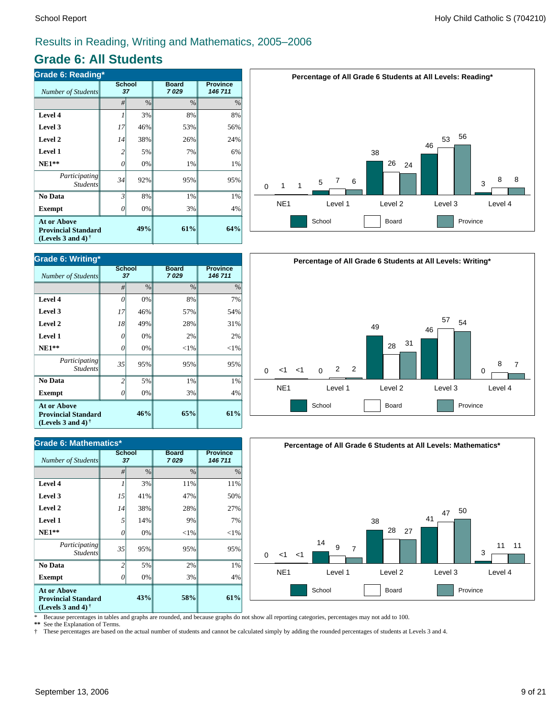### **Grade 6: All Students**

| <b>Grade 6: Reading*</b>                                                                             |                     |     |                      |                            |  |  |  |
|------------------------------------------------------------------------------------------------------|---------------------|-----|----------------------|----------------------------|--|--|--|
| <b>Number of Students</b>                                                                            | <b>School</b><br>37 |     | <b>Board</b><br>7029 | <b>Province</b><br>146 711 |  |  |  |
|                                                                                                      | #                   | %   | $\%$                 | $\%$                       |  |  |  |
| Level 4                                                                                              |                     | 3%  | 8%                   | 8%                         |  |  |  |
| Level 3                                                                                              | 17                  | 46% | 53%                  | 56%                        |  |  |  |
| Level 2                                                                                              | 14                  | 38% | 26%                  | 24%                        |  |  |  |
| <b>Level 1</b>                                                                                       | 2                   | 5%  | 7%                   | 6%                         |  |  |  |
| $NE1**$                                                                                              | 0                   | 0%  | 1%                   | 1%                         |  |  |  |
| Participating<br><b>Students</b>                                                                     | 34                  | 92% | 95%                  | 95%                        |  |  |  |
| No Data                                                                                              | 3                   | 8%  | 1%                   | 1%                         |  |  |  |
| <b>Exempt</b>                                                                                        | O                   | 0%  | 3%                   | 4%                         |  |  |  |
| <b>At or Above</b><br><b>Provincial Standard</b><br>(Levels 3 and 4) <sup><math>\dagger</math></sup> |                     | 61% | 64%                  |                            |  |  |  |



| Grade 6: Mathematics*                                                          |                     |      |                      |                            |  |  |  |
|--------------------------------------------------------------------------------|---------------------|------|----------------------|----------------------------|--|--|--|
| Number of Students                                                             | <b>School</b><br>37 |      | <b>Board</b><br>7029 | <b>Province</b><br>146 711 |  |  |  |
|                                                                                | #                   | $\%$ | $\frac{0}{0}$        | %                          |  |  |  |
| Level 4                                                                        | 1                   | 3%   | 11%                  | 11%                        |  |  |  |
| Level 3                                                                        | 15                  | 41%  | 47%                  | 50%                        |  |  |  |
| Level 2                                                                        | 14                  | 38%  | 28%                  | 27%                        |  |  |  |
| <b>Level 1</b>                                                                 | 5                   | 14%  | 9%                   | 7%                         |  |  |  |
| $NE1**$                                                                        | 0                   | 0%   | $<$ 1%               | $<$ 1%                     |  |  |  |
| Participating<br><b>Students</b>                                               | 35                  | 95%  | 95%                  | 95%                        |  |  |  |
| No Data                                                                        | $\overline{c}$      | 5%   | 2%                   | 1%                         |  |  |  |
| <b>Exempt</b>                                                                  | 0                   | 0%   | 3%                   | 4%                         |  |  |  |
| <b>At or Above</b><br><b>Provincial Standard</b><br>(Levels 3 and 4) $\dagger$ |                     | 43%  | 58%                  | 61%                        |  |  |  |







\* Because percentages in tables and graphs are rounded, and because graphs do not show all reporting categories, percentages may not add to 100.<br>\*\* See the Explanation of Terms

See the Explanation of Terms.

† These percentages are based on the actual number of students and cannot be calculated simply by adding the rounded percentages of students at Levels 3 and 4.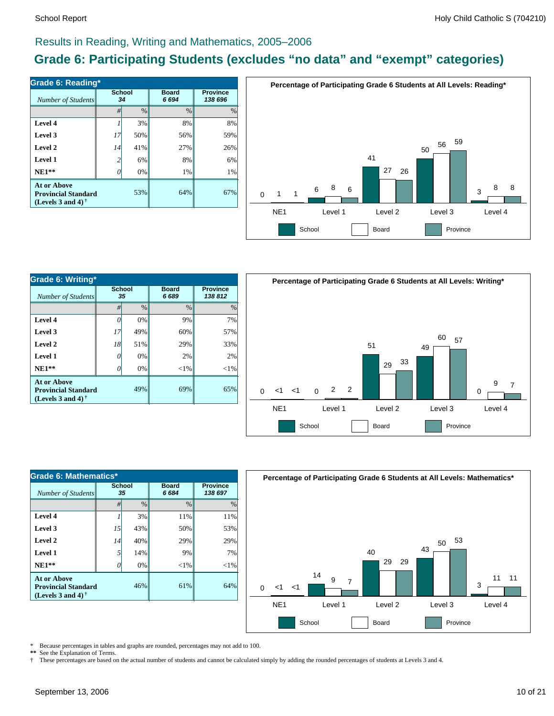### **Grade 6: Participating Students (excludes "no data" and "exempt" categories)**

| Number of Students                                                             | <b>School</b><br>34 |      | <b>Board</b><br>6694 | <b>Province</b><br>138 696 |  |
|--------------------------------------------------------------------------------|---------------------|------|----------------------|----------------------------|--|
|                                                                                | #                   | $\%$ | $\frac{0}{0}$        | $\%$                       |  |
| Level 4                                                                        |                     | 3%   | 8%                   | 8%                         |  |
| Level 3                                                                        | 17                  | 50%  | 56%                  | 59%                        |  |
| Level 2                                                                        | 14                  | 41%  | 27%                  | 26%                        |  |
| Level 1                                                                        | $\overline{c}$      | 6%   | 8%                   | 6%                         |  |
| $NE1**$                                                                        | 0                   | 0%   | 1%                   | 1%                         |  |
| <b>At or Above</b><br><b>Provincial Standard</b><br>(Levels 3 and 4) $\dagger$ |                     | 53%  | 64%                  | 67%                        |  |



| Grade 6: Writing*                                                                     |                     |               |                      |                            |  |  |  |
|---------------------------------------------------------------------------------------|---------------------|---------------|----------------------|----------------------------|--|--|--|
| Number of Students                                                                    | <b>School</b><br>35 |               | <b>Board</b><br>6689 | <b>Province</b><br>138 812 |  |  |  |
|                                                                                       | #                   | $\frac{0}{0}$ | $\frac{0}{0}$        | $\frac{0}{0}$              |  |  |  |
| Level 4                                                                               | 0                   | 0%            | 9%                   | 7%                         |  |  |  |
| Level 3                                                                               | 17                  | 49%           | 60%                  | 57%                        |  |  |  |
| Level 2                                                                               | 18                  | 51%           | 29%                  | 33%                        |  |  |  |
| <b>Level 1</b>                                                                        | 0                   | 0%            | 2%                   | 2%                         |  |  |  |
| $NE1**$                                                                               | 0                   | 0%            | ${<}1\%$             | ${<}1\%$                   |  |  |  |
| <b>At or Above</b><br>49%<br><b>Provincial Standard</b><br>(Levels 3 and 4) $\dagger$ |                     | 69%           | 65%                  |                            |  |  |  |



| Grade 6: Mathematics*                                                                 |              |               |                      |                            |  |  |  |
|---------------------------------------------------------------------------------------|--------------|---------------|----------------------|----------------------------|--|--|--|
| Number of Students                                                                    | School<br>35 |               | <b>Board</b><br>6684 | <b>Province</b><br>138 697 |  |  |  |
|                                                                                       | #            | $\frac{0}{0}$ | $\frac{0}{0}$        | $\frac{0}{0}$              |  |  |  |
| Level 4                                                                               |              | 3%            | 11%                  | 11%                        |  |  |  |
| Level 3                                                                               | 15           | 43%           | 50%                  | 53%                        |  |  |  |
| Level 2                                                                               | 14           | 40%           | 29%                  | 29%                        |  |  |  |
| Level 1                                                                               | 5            | 14%           | 9%                   | 7%                         |  |  |  |
| $NE1**$                                                                               | O            | 0%            | $<$ 1%               | $<$ 1%                     |  |  |  |
| <b>At or Above</b><br>46%<br><b>Provincial Standard</b><br>(Levels 3 and 4) $\dagger$ |              |               | 61%                  | 64%                        |  |  |  |



\* Because percentages in tables and graphs are rounded, percentages may not add to 100.

\*\* See the Explanation of Terms.<br>
<sup>†</sup> These percentages are based o † These percentages are based on the actual number of students and cannot be calculated simply by adding the rounded percentages of students at Levels 3 and 4.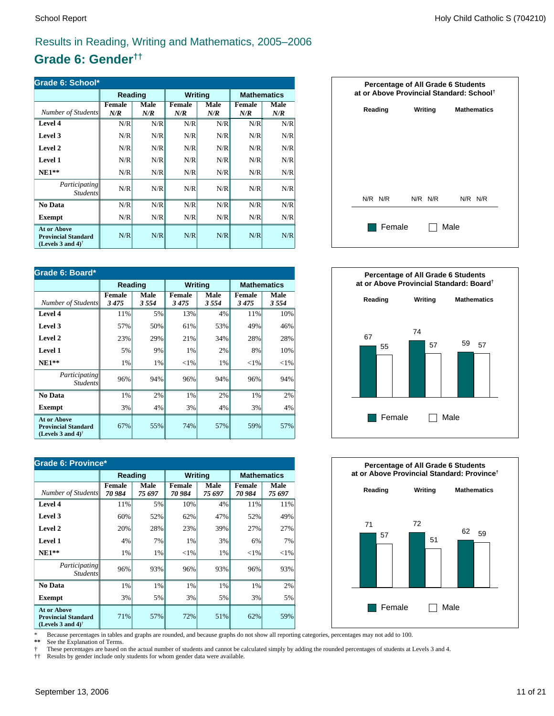### **Grade 6: Gender††**

| Grade 6: School*                                                                  |               |             |               |                    |                      |             |  |
|-----------------------------------------------------------------------------------|---------------|-------------|---------------|--------------------|----------------------|-------------|--|
|                                                                                   | Reading       |             | Writing       |                    | <b>Mathematics</b>   |             |  |
| Number of Students                                                                | Female<br>N/R | Male<br>N/R | Female<br>N/R | <b>Male</b><br>N/R | <b>Female</b><br>N/R | Male<br>N/R |  |
| Level 4                                                                           | N/R           | N/R         | N/R           | N/R                | N/R                  | N/R         |  |
| Level 3                                                                           | N/R           | N/R         | N/R           | N/R                | N/R                  | N/R         |  |
| Level 2                                                                           | N/R           | N/R         | N/R           | N/R                | N/R                  | N/R         |  |
| <b>Level 1</b>                                                                    | N/R           | N/R         | N/R           | N/R                | N/R                  | N/R         |  |
| $NE1**$                                                                           | N/R           | N/R         | N/R           | N/R                | N/R                  | N/R         |  |
| Participating<br><b>Students</b>                                                  | N/R           | N/R         | N/R           | N/R                | N/R                  | N/R         |  |
| No Data                                                                           | N/R           | N/R         | N/R           | N/R                | N/R                  | N/R         |  |
| <b>Exempt</b>                                                                     | N/R           | N/R         | N/R           | N/R                | N/R                  | N/R         |  |
| <b>At or Above</b><br><b>Provincial Standard</b><br>(Levels 3 and 4) <sup>†</sup> | N/R           | N/R         | N/R           | N/R                | N/R                  | N/R         |  |

| Grade 6: Board*                                                                                      |                |              |                       |                |                |                    |  |
|------------------------------------------------------------------------------------------------------|----------------|--------------|-----------------------|----------------|----------------|--------------------|--|
|                                                                                                      | Reading        |              |                       | <b>Writing</b> |                | <b>Mathematics</b> |  |
| Number of Students                                                                                   | Female<br>3475 | Male<br>3554 | <b>Female</b><br>3475 | Male<br>3554   | Female<br>3475 | Male<br>3554       |  |
| Level 4                                                                                              | 11%            | 5%           | 13%                   | 4%             | 11%            | 10%                |  |
| Level 3                                                                                              | 57%            | 50%          | 61%                   | 53%            | 49%            | 46%                |  |
| Level 2                                                                                              | 23%            | 29%          | 21%                   | 34%            | 28%            | 28%                |  |
| Level 1                                                                                              | 5%             | 9%           | 1%                    | 2%             | 8%             | 10%                |  |
| $NE1**$                                                                                              | 1%             | 1%           | ${<}1\%$              | 1%             | ${<}1\%$       | ${<}1\%$           |  |
| Participating<br><i>Students</i>                                                                     | 96%            | 94%          | 96%                   | 94%            | 96%            | 94%                |  |
| No Data                                                                                              | 1%             | 2%           | 1%                    | 2%             | 1%             | 2%                 |  |
| Exempt                                                                                               | 3%             | 4%           | 3%                    | 4%             | 3%             | 4%                 |  |
| <b>At or Above</b><br><b>Provincial Standard</b><br>(Levels 3 and 4) <sup><math>\dagger</math></sup> | 67%            | 55%          | 74%                   | 57%            | 59%            | 57%                |  |

| Grade 6: Province*                                                                                   |                        |                       |                         |                |                    |                |  |
|------------------------------------------------------------------------------------------------------|------------------------|-----------------------|-------------------------|----------------|--------------------|----------------|--|
|                                                                                                      | Reading                |                       | <b>Writing</b>          |                | <b>Mathematics</b> |                |  |
| Number of Students                                                                                   | <b>Female</b><br>70984 | <b>Male</b><br>75 697 | <b>Female</b><br>70 984 | Male<br>75 697 | Female<br>70 984   | Male<br>75 697 |  |
| Level 4                                                                                              | 11%                    | 5%                    | 10%                     | 4%             | 11%                | 11%            |  |
| Level 3                                                                                              | 60%                    | 52%                   | 62%                     | 47%            | 52%                | 49%            |  |
| Level 2                                                                                              | 20%                    | 28%                   | 23%                     | 39%            | 27%                | 27%            |  |
| Level 1                                                                                              | 4%                     | 7%                    | 1%                      | 3%             | 6%                 | 7%             |  |
| $NE1**$                                                                                              | 1%                     | 1%                    | ${<}1\%$                | 1%             | ${<}1\%$           | ${<}1\%$       |  |
| <i>Participating</i><br><i>Students</i>                                                              | 96%                    | 93%                   | 96%                     | 93%            | 96%                | 93%            |  |
| No Data                                                                                              | 1%                     | 1%                    | 1%                      | 1%             | 1%                 | 2%             |  |
| Exempt                                                                                               | 3%                     | 5%                    | 3%                      | 5%             | 3%                 | 5%             |  |
| <b>At or Above</b><br><b>Provincial Standard</b><br>(Levels 3 and 4) <sup><math>\dagger</math></sup> | 71%                    | 57%                   | 72%                     | 51%            | 62%                | 59%            |  |







\* Because percentages in tables and graphs are rounded, and because graphs do not show all reporting categories, percentages may not add to 100.

See the Explanation of Terms.

† These percentages are based on the actual number of students and cannot be calculated simply by adding the rounded percentages of students at Levels 3 and 4.<br>†† Results by gender include only students for whom gender dat

†† Results by gender include only students for whom gender data were available.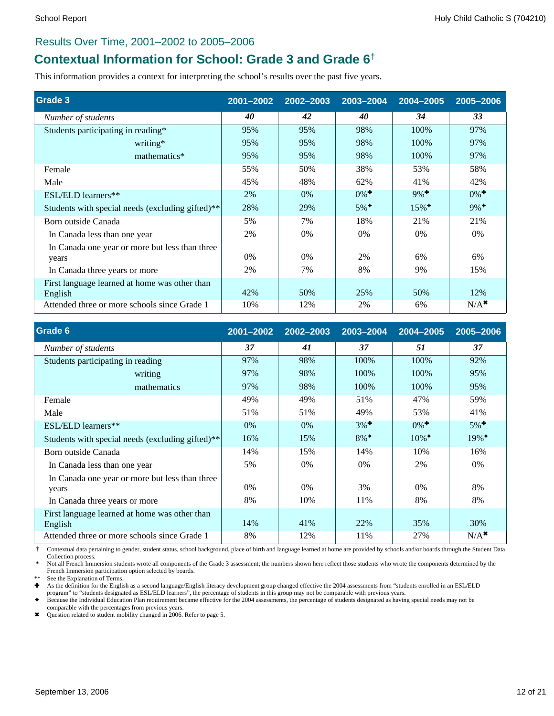#### Results Over Time, 2001–2002 to 2005–2006

### **Contextual Information for School: Grade 3 and Grade 6†**

This information provides a context for interpreting the school's results over the past five years.

| Grade 3                                                  | 2001-2002 | 2002-2003 | 2003-2004          | 2004-2005           | 2005-2006          |
|----------------------------------------------------------|-----------|-----------|--------------------|---------------------|--------------------|
| Number of students                                       | 40        | 42        | 40                 | 34                  | 33                 |
| Students participating in reading*                       | 95%       | 95%       | 98%                | 100%                | 97%                |
| writing*                                                 | 95%       | 95%       | 98%                | 100%                | 97%                |
| mathematics*                                             | 95%       | 95%       | 98%                | 100%                | 97%                |
| Female                                                   | 55%       | 50%       | 38%                | 53%                 | 58%                |
| Male                                                     | 45%       | 48%       | 62%                | 41%                 | 42%                |
| ESL/ELD learners**                                       | 2%        | 0%        | $0\%$ <sup>+</sup> | $9\%$ <sup>+</sup>  | $0\%$ <sup>+</sup> |
| Students with special needs (excluding gifted)**         | 28%       | 29%       | $5\%$ <sup>+</sup> | $15\%$ <sup>+</sup> | $9\%$ <sup>+</sup> |
| Born outside Canada                                      | 5%        | 7%        | 18%                | 21%                 | 21%                |
| In Canada less than one year                             | 2%        | 0%        | 0%                 | 0%                  | 0%                 |
| In Canada one year or more but less than three           |           |           |                    |                     |                    |
| years                                                    | $0\%$     | $0\%$     | 2%                 | 6%                  | 6%                 |
| In Canada three years or more                            | 2%        | 7%        | 8%                 | 9%                  | 15%                |
| First language learned at home was other than<br>English | 42%       | 50%       | 25%                | 50%                 | 12%                |
| Attended three or more schools since Grade 1             | 10%       | 12%       | 2%                 | 6%                  | $N/A$ <sup>*</sup> |

| Grade 6                                                 | 2001-2002 | 2002-2003 | 2003-2004          | 2004-2005           | 2005-2006           |
|---------------------------------------------------------|-----------|-----------|--------------------|---------------------|---------------------|
| Number of students                                      | 37        | 41        | 37                 | 51                  | 37                  |
| Students participating in reading                       | 97%       | 98%       | 100\%              | 100%                | 92%                 |
| writing                                                 | 97%       | 98%       | 100%               | 100%                | 95%                 |
| mathematics                                             | 97%       | 98%       | 100%               | 100%                | 95%                 |
| Female                                                  | 49%       | 49%       | 51%                | 47%                 | 59%                 |
| Male                                                    | 51%       | 51%       | 49%                | 53%                 | 41%                 |
| ESL/ELD learners**                                      | $0\%$     | $0\%$     | $3\%$ <sup>+</sup> | $0\%$ <sup>+</sup>  | $5\%$ <sup>+</sup>  |
| Students with special needs (excluding gifted)**        | 16%       | 15%       | $8\%$ <sup>+</sup> | $10\%$ <sup>+</sup> | $19\%$ <sup>+</sup> |
| Born outside Canada                                     | 14%       | 15%       | 14%                | 10%                 | 16%                 |
| In Canada less than one year                            | 5%        | $0\%$     | 0%                 | 2%                  | 0%                  |
| In Canada one year or more but less than three<br>years | $0\%$     | $0\%$     | 3%                 | $0\%$               | 8%                  |
| In Canada three years or more                           | 8%        | 10%       | 11%                | 8%                  | 8%                  |
| First language learned at home was other than           |           |           |                    |                     |                     |
| English                                                 | 14%       | 41%       | 22%                | 35%                 | 30%                 |
| Attended three or more schools since Grade 1            | 8%        | 12%       | 11%                | 27%                 | $N/A$ <sup>*</sup>  |

 **†** Contextual data pertaining to gender, student status, school background, place of birth and language learned at home are provided by schools and/or boards through the Student Data Collection process.

 **\*** Not all French Immersion students wrote all components of the Grade 3 assessment; the numbers shown here reflect those students who wrote the components determined by the French Immersion participation option selected by boards.

See the Explanation of Terms.

Ì As the definition for the English as a second language/English literacy development group changed effective the 2004 assessments from "students enrolled in an ESL/ELD

program" to "students designated as ESL/ELD learners", the percentage of students in this group may not be comparable with previous years.<br>♦ Because the Individual Education Plan requirement became effective for the 2004 comparable with the percentages from previous years.

\* Question related to student mobility changed in 2006. Refer to page 5.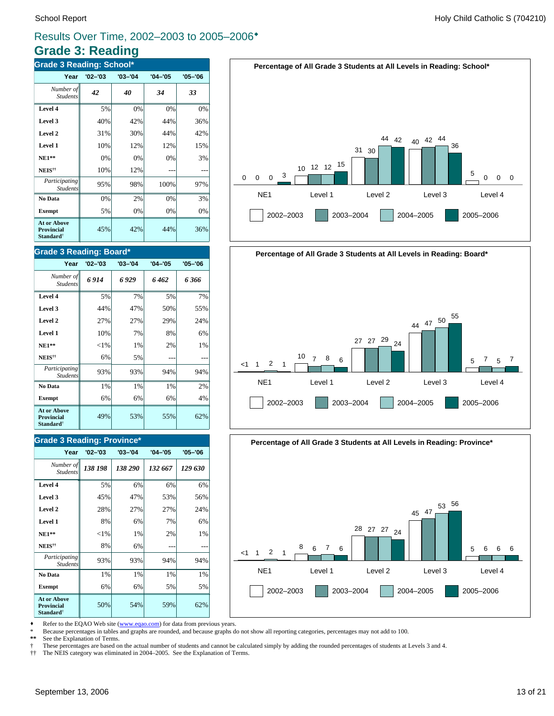### **Grade 3: Reading**

| <b>Grade 3 Reading: School*</b>                                  |             |             |             |             |  |  |  |  |
|------------------------------------------------------------------|-------------|-------------|-------------|-------------|--|--|--|--|
| Year                                                             | $'02 - '03$ | $'03 - '04$ | $'04 - '05$ | $'05 - '06$ |  |  |  |  |
| Number of<br><b>Students</b>                                     | 42          | 40          | 34          | 33          |  |  |  |  |
| Level 4                                                          | 5%          | 0%          | 0%          | 0%          |  |  |  |  |
| Level 3                                                          | 40%         | 42%         | 44%         | 36%         |  |  |  |  |
| Level 2                                                          | 31%         | 30%         | 44%         | 42%         |  |  |  |  |
| Level 1                                                          | 10%         | 12%         | 12%         | 15%         |  |  |  |  |
| $NE1**$                                                          | 0%          | 0%          | 0%          | 3%          |  |  |  |  |
| NEIS <sup>††</sup>                                               | 10%         | 12%         |             |             |  |  |  |  |
| Participating<br><b>Students</b>                                 | 95%         | 98%         | 100%        | 97%         |  |  |  |  |
| No Data                                                          | 0%          | 2%          | 0%          | 3%          |  |  |  |  |
| <b>Exempt</b>                                                    | 5%          | 0%          | 0%          | 0%          |  |  |  |  |
| <b>At or Above</b><br>Provincial<br><b>Standard</b> <sup>†</sup> | 45%         | 42%         | 44%         | 36%         |  |  |  |  |

#### **Grade 3 Reading: Board\***

| Year                                                                    | $'02 - '03$ | $'03 - '04$ | $'04 - '05$ | $'05 - '06$ |
|-------------------------------------------------------------------------|-------------|-------------|-------------|-------------|
| Number of<br><b>Students</b>                                            | 6914        | 6 929       | 6462        | 6 366       |
| Level 4                                                                 | 5%          | 7%          | 5%          | 7%          |
| Level 3                                                                 | 44%         | 47%         | 50%         | 55%         |
| Level 2                                                                 | 27%         | 27%         | 29%         | 24%         |
| Level 1                                                                 | 10%         | 7%          | 8%          | 6%          |
| $NE1**$                                                                 | ${<}1\%$    | 1%          | 2%          | 1%          |
| NEIS <sup>††</sup>                                                      | 6%          | 5%          |             |             |
| Participating<br><b>Students</b>                                        | 93%         | 93%         | 94%         | 94%         |
| No Data                                                                 | 1%          | 1%          | 1%          | 2%          |
| <b>Exempt</b>                                                           | 6%          | 6%          | 6%          | 4%          |
| <b>At or Above</b><br><b>Provincial</b><br><b>Standard</b> <sup>†</sup> | 49%         | 53%         | 55%         | 62%         |

#### **Grade 3 Reading: Province\***

| Year                                                                    | $'02 - '03$ | $'03 - '04$ | $'04 - '05$ | $'05 - '06$ |
|-------------------------------------------------------------------------|-------------|-------------|-------------|-------------|
| Number of<br><b>Students</b>                                            | 138 198     | 138 290     | 132 667     | 129 630     |
| Level 4                                                                 | 5%          | 6%          | 6%          | 6%          |
| Level 3                                                                 | 45%         | 47%         | 53%         | 56%         |
| Level 2                                                                 | 28%         | 27%         | 27%         | 24%         |
| Level 1                                                                 | 8%          | 6%          | 7%          | 6%          |
| $NE1**$                                                                 | ${<}1\%$    | 1%          | 2%          | 1%          |
| NEIS <sup>††</sup>                                                      | 8%          | 6%          |             |             |
| Participating<br><b>Students</b>                                        | 93%         | 93%         | 94%         | 94%         |
| No Data                                                                 | 1%          | 1%          | 1%          | 1%          |
| <b>Exempt</b>                                                           | 6%          | 6%          | 5%          | 5%          |
| <b>At or Above</b><br><b>Provincial</b><br><b>Standard</b> <sup>†</sup> | 50%         | 54%         | 59%         | 62%         |





**Percentage of All Grade 3 Students at All Levels in Reading: Province\***



Refer to the EQAO Web site (www.eqao.com) for data from previous years.

\* Because percentages in tables and graphs are rounded, and because graphs do not show all reporting categories, percentages may not add to 100.

**\*\*** See the Explanation of Terms.

† These percentages are based on the actual number of students and cannot be calculated simply by adding the rounded percentages of students at Levels 3 and 4.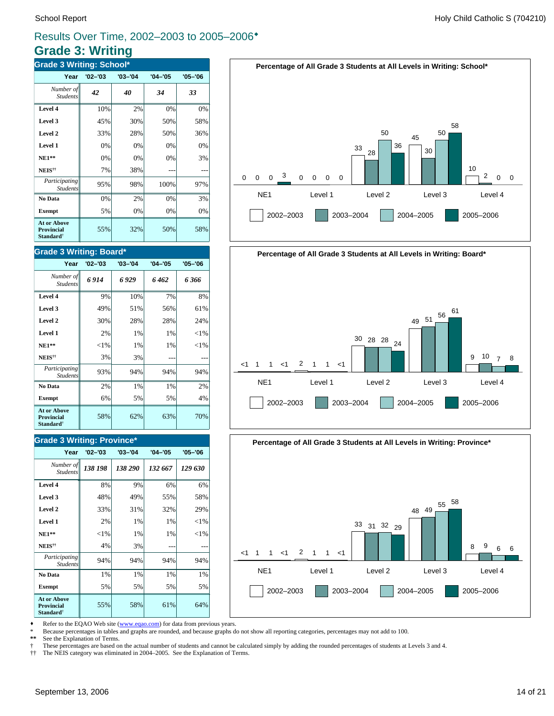### **Grade 3: Writing**

| <b>Grade 3 Writing: School*</b>                                  |             |             |             |             |  |  |  |
|------------------------------------------------------------------|-------------|-------------|-------------|-------------|--|--|--|
| Year                                                             | $'02 - '03$ | $'03 - '04$ | $'04 - '05$ | $'05 - '06$ |  |  |  |
| Number of<br><b>Students</b>                                     | 42          | 40          | 34          | 33          |  |  |  |
| Level 4                                                          | 10%         | 2%          | 0%          | 0%          |  |  |  |
| Level 3                                                          | 45%         | 30%         | 50%         | 58%         |  |  |  |
| Level 2                                                          | 33%         | 28%         | 50%         | 36%         |  |  |  |
| Level 1                                                          | 0%          | 0%          | 0%          | 0%          |  |  |  |
| <b>NE1**</b>                                                     | 0%          | 0%          | 0%          | 3%          |  |  |  |
| NEIS <sup>††</sup>                                               | 7%          | 38%         |             |             |  |  |  |
| Participating<br><b>Students</b>                                 | 95%         | 98%         | 100%        | 97%         |  |  |  |
| No Data                                                          | 0%          | 2%          | 0%          | 3%          |  |  |  |
| <b>Exempt</b>                                                    | 5%          | 0%          | 0%          | 0%          |  |  |  |
| <b>At or Above</b><br>Provincial<br><b>Standard</b> <sup>†</sup> | 55%         | 32%         | 50%         | 58%         |  |  |  |

#### **Grade 3 Writing: Board\***

| Year                                                                    | $'02 - '03$ | $'03 - '04$ | $'04 - '05$ | $'05 - '06$ |
|-------------------------------------------------------------------------|-------------|-------------|-------------|-------------|
| Number of<br><b>Students</b>                                            | 6914        | 6929        | 6462        | 6 366       |
| Level 4                                                                 | 9%          | 10%         | 7%          | 8%          |
| Level 3                                                                 | 49%         | 51%         | 56%         | 61%         |
| Level 2                                                                 | 30%         | 28%         | 28%         | 24%         |
| Level 1                                                                 | 2%          | 1%          | 1%          | ${<}1\%$    |
| $NE1**$                                                                 | ${<}1\%$    | 1%          | 1%          | ${<}1\%$    |
| NEIS <sup>††</sup>                                                      | 3%          | 3%          |             |             |
| Participating<br><b>Students</b>                                        | 93%         | 94%         | 94%         | 94%         |
| No Data                                                                 | 2%          | 1%          | 1%          | 2%          |
| <b>Exempt</b>                                                           | 6%          | 5%          | 5%          | 4%          |
| <b>At or Above</b><br><b>Provincial</b><br><b>Standard</b> <sup>†</sup> | 58%         | 62%         | 63%         | 70%         |

#### **Grade 3 Writing: Province\***

| Year                                                                    | $'02 - '03$ | $'03 - '04$ | $'04 - '05$ | $'05 - '06$ |
|-------------------------------------------------------------------------|-------------|-------------|-------------|-------------|
| Number of<br><b>Students</b>                                            | 138 198     | 138 290     | 132 667     | 129 630     |
| Level 4                                                                 | 8%          | 9%          | 6%          | 6%          |
| Level 3                                                                 | 48%         | 49%         | 55%         | 58%         |
| Level 2                                                                 | 33%         | 31%         | 32%         | 29%         |
| Level 1                                                                 | 2%          | 1%          | 1%          | ${<}1\%$    |
| $NE1**$                                                                 | ${<}1\%$    | 1%          | 1%          | ${<}1\%$    |
| NEIS <sup>††</sup>                                                      | 4%          | 3%          |             |             |
| Participating<br><b>Students</b>                                        | 94%         | 94%         | 94%         | 94%         |
| No Data                                                                 | 1%          | 1%          | 1%          | 1%          |
| <b>Exempt</b>                                                           | 5%          | 5%          | 5%          | 5%          |
| <b>At or Above</b><br><b>Provincial</b><br><b>Standard</b> <sup>†</sup> | 55%         | 58%         | 61%         | 64%         |







Refer to the EQAO Web site (www.eqao.com) for data from previous years.

\* Because percentages in tables and graphs are rounded, and because graphs do not show all reporting categories, percentages may not add to 100.

**\*\*** See the Explanation of Terms.

† These percentages are based on the actual number of students and cannot be calculated simply by adding the rounded percentages of students at Levels 3 and 4.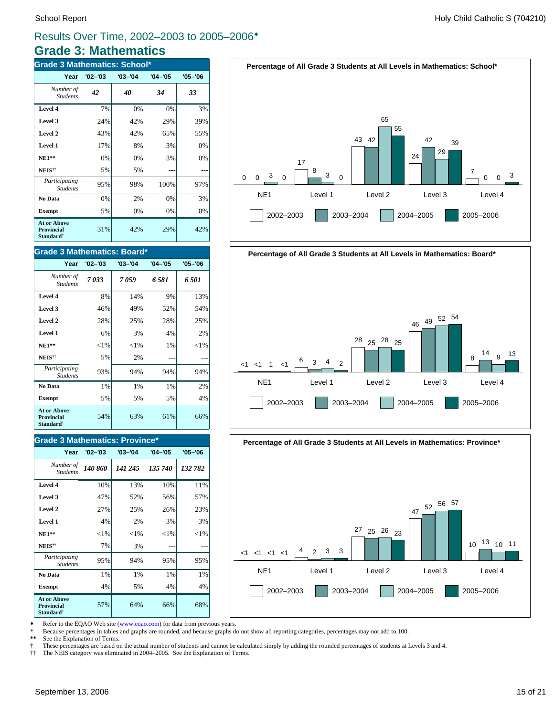### **Grade 3: Mathematics** Results Over Time, 2002–2003 to 2005–2006\*

| <b>Grade 3 Mathematics: School*</b>                              |             |             |             |             |  |
|------------------------------------------------------------------|-------------|-------------|-------------|-------------|--|
| Year                                                             | $'02 - '03$ | $'03 - '04$ | $'04 - '05$ | $'05 - '06$ |  |
| Number of<br><b>Students</b>                                     | 42          | 40          | 34          | 33          |  |
| Level 4                                                          | 7%          | 0%          | 0%          | 3%          |  |
| Level 3                                                          | 24%         | 42%         | 29%         | 39%         |  |
| Level 2                                                          | 43%         | 42%         | 65%         | 55%         |  |
| Level 1                                                          | 17%         | 8%          | 3%          | 0%          |  |
| $NE1**$                                                          | 0%          | 0%          | 3%          | 0%          |  |
| NEIS <sup>††</sup>                                               | 5%          | 5%          |             |             |  |
| Participating<br><b>Students</b>                                 | 95%         | 98%         | 100%        | 97%         |  |
| No Data                                                          | 0%          | 2%          | 0%          | 3%          |  |
| <b>Exempt</b>                                                    | 5%          | 0%          | 0%          | 0%          |  |
| <b>At or Above</b><br>Provincial<br><b>Standard</b> <sup>†</sup> | 31%         | 42%         | 29%         | 42%         |  |

#### **Grade 3 Mathematics: Board\***

| Year                                                                    | $'02 - '03$ | $'03 - '04$ | $'04 - '05$ | $'05 - '06$ |
|-------------------------------------------------------------------------|-------------|-------------|-------------|-------------|
| Number of<br><b>Students</b>                                            | 7033        | 7059        | 6.581       | 6.501       |
| Level 4                                                                 | 8%          | 14%         | 9%          | 13%         |
| Level 3                                                                 | 46%         | 49%         | 52%         | 54%         |
| Level 2                                                                 | 28%         | 25%         | 28%         | 25%         |
| Level 1                                                                 | 6%          | 3%          | 4%          | 2%          |
| $NE1**$                                                                 | ${<}1\%$    | $<$ 1%      | 1%          | ${<}1\%$    |
| NEIS <sup>††</sup>                                                      | 5%          | 2%          |             |             |
| Participating<br><b>Students</b>                                        | 93%         | 94%         | 94%         | 94%         |
| No Data                                                                 | 1%          | 1%          | 1%          | 2%          |
| <b>Exempt</b>                                                           | 5%          | 5%          | 5%          | 4%          |
| <b>At or Above</b><br><b>Provincial</b><br><b>Standard</b> <sup>†</sup> | 54%         | 63%         | 61%         | 66%         |

#### **Grade 3 Mathematics: Province\***

| Year                                                                    | $'02 - '03$ | $'03 - '04$ | $'04 - '05$ | $'05 - '06$ |
|-------------------------------------------------------------------------|-------------|-------------|-------------|-------------|
| Number of<br><b>Students</b>                                            | 140 860     | 141 245     | 135 740     | 132 782     |
| Level 4                                                                 | 10%         | 13%         | 10%         | 11%         |
| Level 3                                                                 | 47%         | 52%         | 56%         | 57%         |
| Level 2                                                                 | 27%         | 25%         | 26%         | 23%         |
| Level 1                                                                 | 4%          | 2%          | 3%          | 3%          |
| $NE1**$                                                                 | ${<}1\%$    | ${<}1\%$    | ${<}1\%$    | ${<}1\%$    |
| NEIS <sup>††</sup>                                                      | 7%          | 3%          |             |             |
| Participating<br><b>Students</b>                                        | 95%         | 94%         | 95%         | 95%         |
| No Data                                                                 | 1%          | 1%          | 1%          | 1%          |
| <b>Exempt</b>                                                           | 4%          | 5%          | 4%          | 4%          |
| <b>At or Above</b><br><b>Provincial</b><br><b>Standard</b> <sup>†</sup> | 57%         | 64%         | 66%         | 68%         |





#### **Percentage of All Grade 3 Students at All Levels in Mathematics: Province\***



• Refer to the EQAO Web site (www.eqao.com) for data from previous years.

\* Because percentages in tables and graphs are rounded, and because graphs do not show all reporting categories, percentages may not add to 100.

**\*\*** See the Explanation of Terms.

† These percentages are based on the actual number of students and cannot be calculated simply by adding the rounded percentages of students at Levels 3 and 4.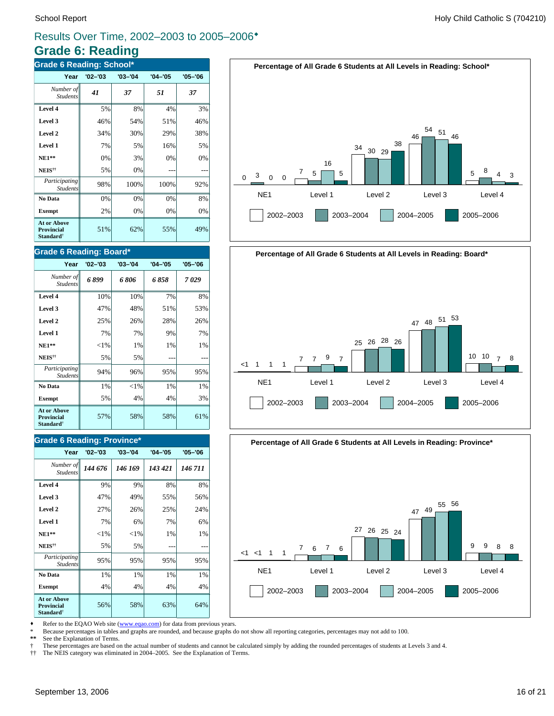## **Grade 6: Reading**

| <b>Grade 6 Reading: School*</b>                                  |             |             |             |             |  |
|------------------------------------------------------------------|-------------|-------------|-------------|-------------|--|
| Year                                                             | $'02 - '03$ | $'03 - '04$ | $'04 - '05$ | $'05 - '06$ |  |
| Number of<br><b>Students</b>                                     | 41          | 37          | 51          | 37          |  |
| Level 4                                                          | 5%          | 8%          | 4%          | 3%          |  |
| Level 3                                                          | 46%         | 54%         | 51%         | 46%         |  |
| Level 2                                                          | 34%         | 30%         | 29%         | 38%         |  |
| Level 1                                                          | 7%          | 5%          | 16%         | 5%          |  |
| $NE1**$                                                          | 0%          | 3%          | 0%          | 0%          |  |
| NEIS <sup>††</sup>                                               | 5%          | 0%          |             |             |  |
| Participating<br><b>Students</b>                                 | 98%         | 100%        | 100%        | 92%         |  |
| No Data                                                          | 0%          | 0%          | 0%          | 8%          |  |
| <b>Exempt</b>                                                    | 2%          | 0%          | 0%          | 0%          |  |
| <b>At or Above</b><br>Provincial<br><b>Standard</b> <sup>†</sup> | 51%         | 62%         | 55%         | 49%         |  |

#### **Grade 6 Reading: Board\***

| Year                                                                    | $'02 - '03$ | $'03 - '04$ | $'04 - '05$ | $'05 - '06$ |
|-------------------------------------------------------------------------|-------------|-------------|-------------|-------------|
| Number of<br><b>Students</b>                                            | 6899        | 6 806       | 6858        | 7029        |
| Level 4                                                                 | 10%         | 10%         | 7%          | 8%          |
| Level 3                                                                 | 47%         | 48%         | 51%         | 53%         |
| Level 2                                                                 | 25%         | 26%         | 28%         | 26%         |
| Level 1                                                                 | 7%          | 7%          | 9%          | 7%          |
| $NE1**$                                                                 | ${<}1\%$    | 1%          | 1%          | 1%          |
| NEIS <sup>††</sup>                                                      | 5%          | 5%          |             |             |
| Participating<br><b>Students</b>                                        | 94%         | 96%         | 95%         | 95%         |
| No Data                                                                 | 1%          | ${<}1\%$    | 1%          | 1%          |
| <b>Exempt</b>                                                           | 5%          | 4%          | 4%          | 3%          |
| <b>At or Above</b><br><b>Provincial</b><br><b>Standard</b> <sup>†</sup> | 57%         | 58%         | 58%         | 61%         |

#### **Grade 6 Reading: Province\***

| Year                                                             | $'02 - '03$ | $'03 - '04$ | $'04 - '05$ | $'05 - '06$ |
|------------------------------------------------------------------|-------------|-------------|-------------|-------------|
| Number of<br><b>Students</b>                                     | 144 676     | 146 169     | 143 421     | 146 711     |
| Level 4                                                          | 9%          | 9%          | 8%          | 8%          |
| Level 3                                                          | 47%         | 49%         | 55%         | 56%         |
| Level 2                                                          | 27%         | 26%         | 25%         | 24%         |
| Level 1                                                          | 7%          | 6%          | 7%          | 6%          |
| $NE1**$                                                          | $<$ 1%      | ${<}1\%$    | 1%          | 1%          |
| NEIS <sup>††</sup>                                               | 5%          | 5%          |             |             |
| Participating<br><b>Students</b>                                 | 95%         | 95%         | 95%         | 95%         |
| No Data                                                          | 1%          | 1%          | 1%          | 1%          |
| <b>Exempt</b>                                                    | 4%          | 4%          | 4%          | 4%          |
| <b>At or Above</b><br>Provincial<br><b>Standard</b> <sup>†</sup> | 56%         | 58%         | 63%         | 64%         |





**Percentage of All Grade 6 Students at All Levels in Reading: Province\***



• Refer to the EQAO Web site (www.eqao.com) for data from previous years.

\* Because percentages in tables and graphs are rounded, and because graphs do not show all reporting categories, percentages may not add to 100.

**\*\*** See the Explanation of Terms.

 $\dagger$  These percentages are based on the actual number of students and cannot be calculated simply by adding the rounded percentages of students at Levels 3 and 4.<br> $\dagger\uparrow$  The NEIS category was eliminated in 2004–2005. See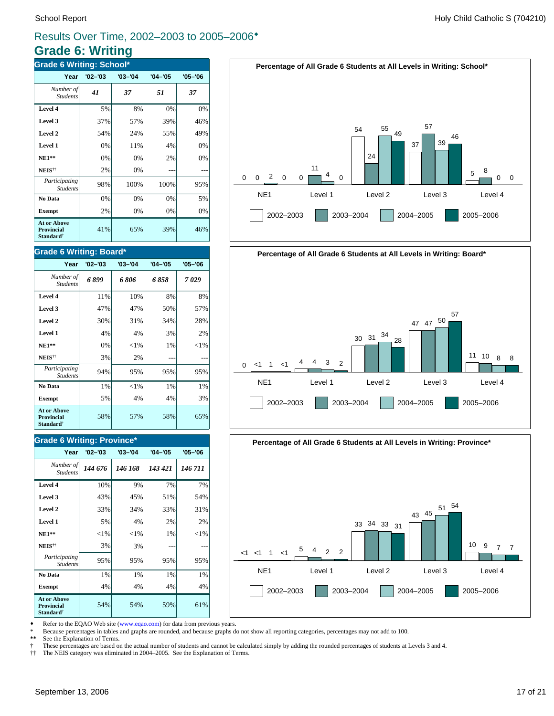### **Grade 6: Writing**

| <b>Grade 6 Writing: School*</b>                                  |             |             |             |             |  |
|------------------------------------------------------------------|-------------|-------------|-------------|-------------|--|
| Year                                                             | $'02 - '03$ | $'03 - '04$ | $'04 - '05$ | $'05 - '06$ |  |
| Number of<br><b>Students</b>                                     | 41          | 37          | 51          | 37          |  |
| Level 4                                                          | 5%          | 8%          | 0%          | 0%          |  |
| Level 3                                                          | 37%         | 57%         | 39%         | 46%         |  |
| Level 2                                                          | 54%         | 24%         | 55%         | 49%         |  |
| Level 1                                                          | 0%          | 11%         | 4%          | 0%          |  |
| <b>NE1**</b>                                                     | 0%          | 0%          | 2%          | 0%          |  |
| NEIS <sup>††</sup>                                               | 2%          | 0%          |             |             |  |
| Participating<br><b>Students</b>                                 | 98%         | 100%        | 100%        | 95%         |  |
| No Data                                                          | 0%          | 0%          | 0%          | 5%          |  |
| <b>Exempt</b>                                                    | 2%          | 0%          | 0%          | 0%          |  |
| <b>At or Above</b><br>Provincial<br><b>Standard</b> <sup>†</sup> | 41%         | 65%         | 39%         | 46%         |  |

#### **Grade 6 Writing: Board\***

| Year                                                                    | $'02 - '03$ | $'03 - '04$ | $'04 - '05$ | $'05 - '06$ |
|-------------------------------------------------------------------------|-------------|-------------|-------------|-------------|
| Number of<br><b>Students</b>                                            | 6899        | 6 806       | 6 858       | 7029        |
| Level 4                                                                 | 11%         | 10%         | 8%          | 8%          |
| Level 3                                                                 | 47%         | 47%         | 50%         | 57%         |
| Level 2                                                                 | 30%         | 31%         | 34%         | 28%         |
| Level 1                                                                 | 4%          | 4%          | 3%          | 2%          |
| <b>NE1**</b>                                                            | 0%          | ${<}1\%$    | 1%          | ${<}1\%$    |
| NEIS <sup>††</sup>                                                      | 3%          | 2%          |             |             |
| Participating<br><b>Students</b>                                        | 94%         | 95%         | 95%         | 95%         |
| No Data                                                                 | 1%          | ${<}1\%$    | 1%          | 1%          |
| <b>Exempt</b>                                                           | 5%          | 4%          | 4%          | 3%          |
| <b>At or Above</b><br><b>Provincial</b><br><b>Standard</b> <sup>†</sup> | 58%         | 57%         | 58%         | 65%         |

#### **Grade 6 Writing: Province\***

| Year                                                                    | $'02 - '03$ | $'03 - '04$ | $'04 - '05$ | $'05 - '06$ |
|-------------------------------------------------------------------------|-------------|-------------|-------------|-------------|
| Number of<br><b>Students</b>                                            | 144 676     | 146 168     | 143 421     | 146 711     |
| Level 4                                                                 | 10%         | 9%          | 7%          | 7%          |
| Level 3                                                                 | 43%         | 45%         | 51%         | 54%         |
| Level 2                                                                 | 33%         | 34%         | 33%         | 31%         |
| Level 1                                                                 | 5%          | 4%          | 2%          | 2%          |
| $NE1**$                                                                 | ${<}1\%$    | $<$ 1%      | 1%          | ${<}1\%$    |
| NEIS <sup>††</sup>                                                      | 3%          | 3%          |             |             |
| Participating<br><b>Students</b>                                        | 95%         | 95%         | 95%         | 95%         |
| No Data                                                                 | 1%          | 1%          | 1%          | 1%          |
| <b>Exempt</b>                                                           | 4%          | 4%          | 4%          | 4%          |
| <b>At or Above</b><br><b>Provincial</b><br><b>Standard</b> <sup>†</sup> | 54%         | 54%         | 59%         | 61%         |



![](_page_16_Figure_10.jpeg)

![](_page_16_Figure_11.jpeg)

• Refer to the EQAO Web site (www.eqao.com) for data from previous years.

\* Because percentages in tables and graphs are rounded, and because graphs do not show all reporting categories, percentages may not add to 100.

**\*\*** See the Explanation of Terms.

 $\dagger$  These percentages are based on the actual number of students and cannot be calculated simply by adding the rounded percentages of students at Levels 3 and 4.<br> $\dagger\uparrow$  The NEIS category was eliminated in 2004–2005. See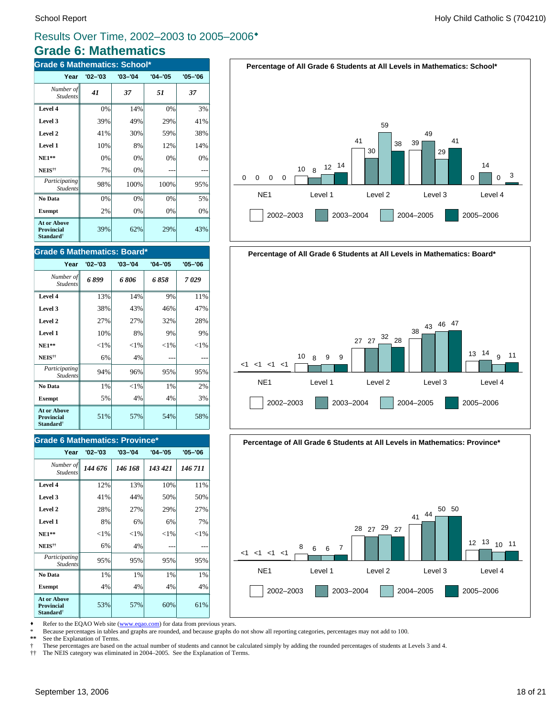#### **Grade 6: Mathematics** Results Over Time, 2002–2003 to 2005–2006\*

| <b>Grade 6 Mathematics: School*</b>                              |             |             |             |             |
|------------------------------------------------------------------|-------------|-------------|-------------|-------------|
| Year                                                             | $'02 - '03$ | $'03 - '04$ | $'04 - '05$ | $'05 - '06$ |
| Number of<br><b>Students</b>                                     | 41          | 37          | 51          | 37          |
| Level 4                                                          | 0%          | 14%         | 0%          | 3%          |
| Level 3                                                          | 39%         | 49%         | 29%         | 41%         |
| Level 2                                                          | 41%         | 30%         | 59%         | 38%         |
| Level 1                                                          | 10%         | 8%          | 12%         | 14%         |
| $NE1**$                                                          | 0%          | 0%          | 0%          | 0%          |
| NEIS <sup>††</sup>                                               | 7%          | 0%          |             |             |
| Participating<br><b>Students</b>                                 | 98%         | 100%        | 100%        | 95%         |
| No Data                                                          | 0%          | 0%          | 0%          | 5%          |
| <b>Exempt</b>                                                    | 2%          | 0%          | 0%          | 0%          |
| <b>At or Above</b><br>Provincial<br><b>Standard</b> <sup>†</sup> | 39%         | 62%         | 29%         | 43%         |

#### **Grade 6 Mathematics: Board\***

| Year                                                                    | $'02 - '03$ | $'03 - '04$ | $'04 - '05$ | $'05 - '06$ |
|-------------------------------------------------------------------------|-------------|-------------|-------------|-------------|
| Number of<br><b>Students</b>                                            | 6 899       | 6806        | 6858        | 7029        |
| Level 4                                                                 | 13%         | 14%         | 9%          | 11%         |
| Level 3                                                                 | 38%         | 43%         | 46%         | 47%         |
| Level 2                                                                 | 27%         | 27%         | 32%         | 28%         |
| Level 1                                                                 | 10%         | 8%          | 9%          | 9%          |
| $NE1**$                                                                 | ${<}1\%$    | ${<}1\%$    | ${<}1\%$    | ${<}1\%$    |
| NEIS <sup>††</sup>                                                      | 6%          | 4%          |             |             |
| Participating<br><b>Students</b>                                        | 94%         | 96%         | 95%         | 95%         |
| No Data                                                                 | 1%          | ${<}1\%$    | 1%          | 2%          |
| <b>Exempt</b>                                                           | 5%          | 4%          | 4%          | 3%          |
| <b>At or Above</b><br><b>Provincial</b><br><b>Standard</b> <sup>†</sup> | 51%         | 57%         | 54%         | 58%         |

#### **Grade 6 Mathematics: Province\***

| Year                                                                    | $'02 - '03$ | $'03 - '04$ | $'04 - '05$ | $'05 - '06$ |
|-------------------------------------------------------------------------|-------------|-------------|-------------|-------------|
| Number of<br><b>Students</b>                                            | 144 676     | 146 168     | 143 421     | 146 711     |
| Level 4                                                                 | 12%         | 13%         | 10%         | 11%         |
| Level 3                                                                 | 41%         | 44%         | 50%         | 50%         |
| Level 2                                                                 | 28%         | 27%         | 29%         | 27%         |
| Level 1                                                                 | 8%          | 6%          | 6%          | 7%          |
| <b>NE1**</b>                                                            | ${<}1\%$    | ${<}1\%$    | ${<}1\%$    | $<$ 1%      |
| NEIS <sup>††</sup>                                                      | 6%          | 4%          |             |             |
| Participating<br><b>Students</b>                                        | 95%         | 95%         | 95%         | 95%         |
| No Data                                                                 | 1%          | $1\%$       | $1\%$       | 1%          |
| <b>Exempt</b>                                                           | 4%          | 4%          | 4%          | 4%          |
| <b>At or Above</b><br><b>Provincial</b><br><b>Standard</b> <sup>†</sup> | 53%         | 57%         | 60%         | 61%         |

![](_page_17_Figure_8.jpeg)

![](_page_17_Figure_9.jpeg)

**Percentage of All Grade 6 Students at All Levels in Mathematics: Province\***

![](_page_17_Figure_11.jpeg)

• Refer to the EQAO Web site (www.eqao.com) for data from previous years.

\* Because percentages in tables and graphs are rounded, and because graphs do not show all reporting categories, percentages may not add to 100.

**\*\*** See the Explanation of Terms.

 $\dagger$  These percentages are based on the actual number of students and cannot be calculated simply by adding the rounded percentages of students at Levels 3 and 4.<br> $\dagger\uparrow$  The NEIS category was eliminated in 2004–2005. See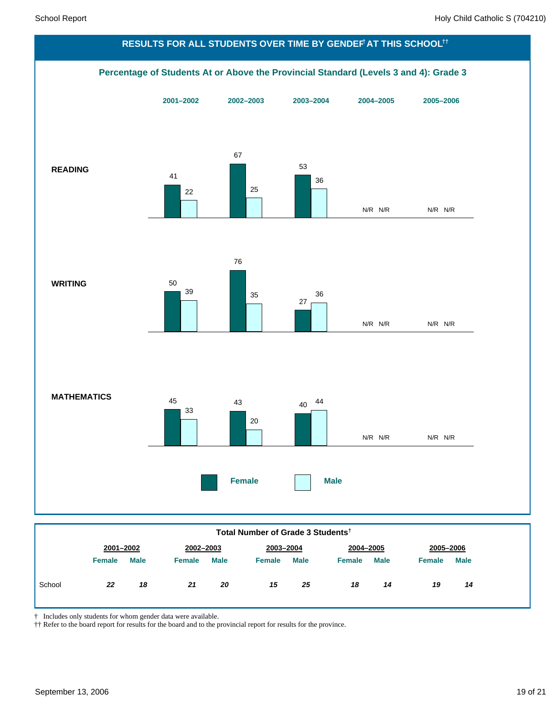![](_page_18_Figure_2.jpeg)

*18 14*

*19 14*

| יטשי | nn<br>-- | . .<br>ıa | п.<br>. . | $\sim$<br>ZU | --<br>. .<br> | クド<br>∠J | 18 |
|------|----------|-----------|-----------|--------------|---------------|----------|----|
|      |          |           |           |              |               |          |    |
|      |          |           |           |              |               |          |    |

† Includes only students for whom gender data were available.

†† Refer to the board report for results for the board and to the provincial report for results for the province.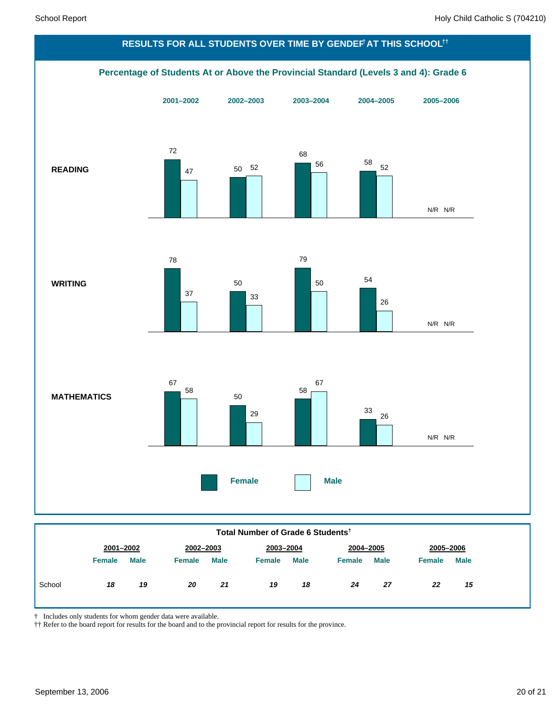![](_page_19_Figure_2.jpeg)

|        | 2001-2002     |             | 2002-2003     |             | 2003-2004     |             | 2004-2005     |             | 2005-2006     |             |
|--------|---------------|-------------|---------------|-------------|---------------|-------------|---------------|-------------|---------------|-------------|
|        | <b>Female</b> | <b>Male</b> | <b>Female</b> | <b>Male</b> | <b>Female</b> | <b>Male</b> | <b>Female</b> | <b>Male</b> | <b>Female</b> | <b>Male</b> |
| School | 18            | 19          | 20            | 21          | 19            | 18          | 24            | 27          | 22            | 15          |

 $\dagger$  Includes only students for whom gender data were available.

†† Refer to the board report for results for the board and to the provincial report for results for the province.